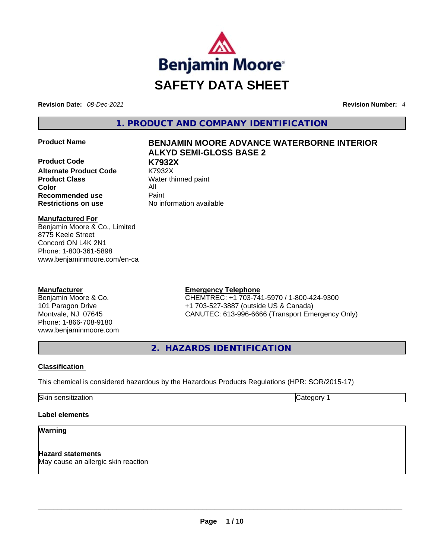

**Revision Date:** *08-Dec-2021* **Revision Number:** *4*

**1. PRODUCT AND COMPANY IDENTIFICATION** 

**Product Code K7932X Alternate Product Code Product Class Water thinned paint Color** All **Recommended use <b>Paint Restrictions on use** No information available

# **Product Name BENJAMIN MOORE ADVANCE WATERBORNE INTERIOR ALKYD SEMI-GLOSS BASE 2**

**Manufactured For** Benjamin Moore & Co., Limited 8775 Keele Street Concord ON L4K 2N1 Phone: 1-800-361-5898 www.benjaminmoore.com/en-ca

# **Manufacturer**

Benjamin Moore & Co. 101 Paragon Drive Montvale, NJ 07645 Phone: 1-866-708-9180 www.benjaminmoore.com

# **Emergency Telephone**

CHEMTREC: +1 703-741-5970 / 1-800-424-9300 +1 703-527-3887 (outside US & Canada) CANUTEC: 613-996-6666 (Transport Emergency Only)

**2. HAZARDS IDENTIFICATION** 

# **Classification**

This chemical is considered hazardous by the Hazardous Products Regulations (HPR: SOR/2015-17)

Skin sensitization **Category 1 Category 1** 

# **Label elements**

# **Warning**

**Hazard statements** May cause an allergic skin reaction \_\_\_\_\_\_\_\_\_\_\_\_\_\_\_\_\_\_\_\_\_\_\_\_\_\_\_\_\_\_\_\_\_\_\_\_\_\_\_\_\_\_\_\_\_\_\_\_\_\_\_\_\_\_\_\_\_\_\_\_\_\_\_\_\_\_\_\_\_\_\_\_\_\_\_\_\_\_\_\_\_\_\_\_\_\_\_\_\_\_\_\_\_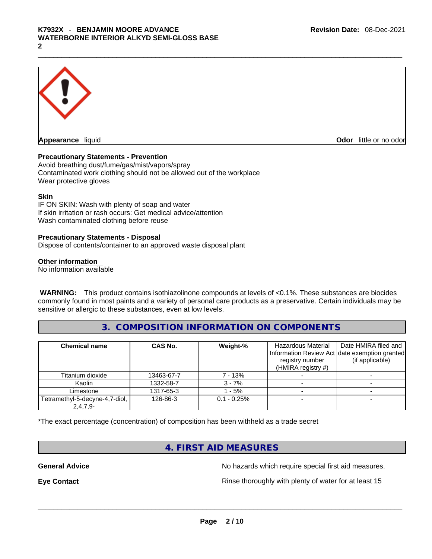

**Appearance** liquid **Odor 11** and **Odor 11** and **Odor 11** and **Odor 11** and **Odor** 11 and **Odor** 11 and **Odor** 11 and **Odor** 11 and **Odor** 11 and **Odor** 11 and **Odor** 11 and **Odor** 11 and **Odor** 11 and **Odor** 11 and **Odor** 

# **Precautionary Statements - Prevention**

Avoid breathing dust/fume/gas/mist/vapors/spray Contaminated work clothing should not be allowed out of the workplace Wear protective gloves

## **Skin**

IF ON SKIN: Wash with plenty of soap and water If skin irritation or rash occurs: Get medical advice/attention Wash contaminated clothing before reuse

# **Precautionary Statements - Disposal**

Dispose of contents/container to an approved waste disposal plant

## **Other information**

No information available

**WARNING:** This product contains isothiazolinone compounds at levels of <0.1%. These substances are biocides commonly found in most paints and a variety of personal care products as a preservative. Certain individuals may be sensitive or allergic to these substances, even at low levels.

# **3. COMPOSITION INFORMATION ON COMPONENTS**

| <b>Chemical name</b>                       | CAS No.    | Weight-%       | Hazardous Material<br>registry number<br>(HMIRA registry $#$ ) | Date HMIRA filed and<br>Information Review Act date exemption granted<br>(if applicable) |
|--------------------------------------------|------------|----------------|----------------------------------------------------------------|------------------------------------------------------------------------------------------|
| Titanium dioxide                           | 13463-67-7 | 7 - 13%        |                                                                |                                                                                          |
| Kaolin                                     | 1332-58-7  | $3 - 7%$       |                                                                |                                                                                          |
| Limestone                                  | 1317-65-3  | - 5%           |                                                                |                                                                                          |
| Tetramethyl-5-decyne-4,7-diol,<br>2,4,7,9- | 126-86-3   | $0.1 - 0.25\%$ |                                                                |                                                                                          |

\*The exact percentage (concentration) of composition has been withheld as a trade secret

# **4. FIRST AID MEASURES**

**General Advice General Advice No hazards which require special first aid measures.** 

**Eye Contact <b>Rinse** thoroughly with plenty of water for at least 15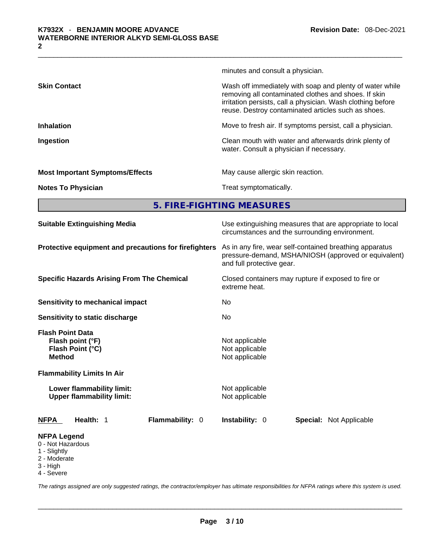|                                        | 5. FIRE-FIGHTING MEASURES                                                                                                                                                                                                              |  |  |
|----------------------------------------|----------------------------------------------------------------------------------------------------------------------------------------------------------------------------------------------------------------------------------------|--|--|
| <b>Notes To Physician</b>              | Treat symptomatically.                                                                                                                                                                                                                 |  |  |
| <b>Most Important Symptoms/Effects</b> | May cause allergic skin reaction.                                                                                                                                                                                                      |  |  |
| Ingestion                              | Clean mouth with water and afterwards drink plenty of<br>water. Consult a physician if necessary.                                                                                                                                      |  |  |
| <b>Inhalation</b>                      | Move to fresh air. If symptoms persist, call a physician.                                                                                                                                                                              |  |  |
| <b>Skin Contact</b>                    | Wash off immediately with soap and plenty of water while<br>removing all contaminated clothes and shoes. If skin<br>irritation persists, call a physician. Wash clothing before<br>reuse. Destroy contaminated articles such as shoes. |  |  |
|                                        | minutes and consult a physician.                                                                                                                                                                                                       |  |  |

| <b>Suitable Extinguishing Media</b>                                                                                                                | Use extinguishing measures that are appropriate to local<br>circumstances and the surrounding environment.                                                                                                           |  |  |
|----------------------------------------------------------------------------------------------------------------------------------------------------|----------------------------------------------------------------------------------------------------------------------------------------------------------------------------------------------------------------------|--|--|
| Protective equipment and precautions for firefighters                                                                                              | As in any fire, wear self-contained breathing apparatus<br>pressure-demand, MSHA/NIOSH (approved or equivalent)<br>and full protective gear.<br>Closed containers may rupture if exposed to fire or<br>extreme heat. |  |  |
| <b>Specific Hazards Arising From The Chemical</b>                                                                                                  |                                                                                                                                                                                                                      |  |  |
| Sensitivity to mechanical impact                                                                                                                   | No.                                                                                                                                                                                                                  |  |  |
| Sensitivity to static discharge                                                                                                                    | No                                                                                                                                                                                                                   |  |  |
| <b>Flash Point Data</b><br>Flash point (°F)<br>Flash Point (°C)<br><b>Method</b><br><b>Flammability Limits In Air</b><br>Lower flammability limit: | Not applicable<br>Not applicable<br>Not applicable<br>Not applicable                                                                                                                                                 |  |  |
| <b>Upper flammability limit:</b>                                                                                                                   | Not applicable                                                                                                                                                                                                       |  |  |
| Health: 1<br>Flammability: 0<br><b>NFPA</b>                                                                                                        | Instability: 0<br><b>Special: Not Applicable</b>                                                                                                                                                                     |  |  |
| <b>NFPA Legend</b><br>0 - Not Hazardous<br>1 - Slightly<br>2 - Moderate<br>3 - Hinh                                                                |                                                                                                                                                                                                                      |  |  |

3 - High 4 - Severe

*The ratings assigned are only suggested ratings, the contractor/employer has ultimate responsibilities for NFPA ratings where this system is used.*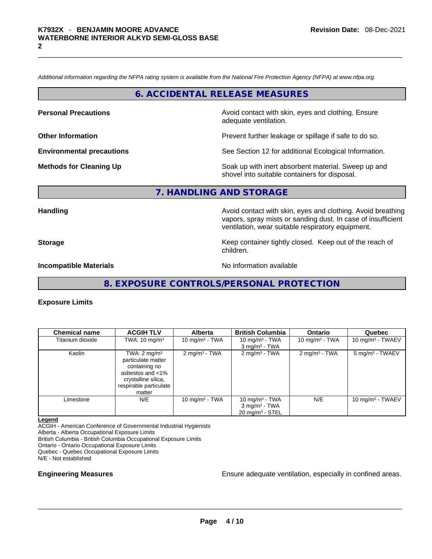*Additional information regarding the NFPA rating system is available from the National Fire Protection Agency (NFPA) at www.nfpa.org.* 

**6. ACCIDENTAL RELEASE MEASURES** 

**Personal Precautions Avoid contact with skin, eyes and clothing. Ensure Personal Precautions** adequate ventilation.

**Other Information Determined Information Prevent further leakage or spillage if safe to do so.** 

**Environmental precautions** See Section 12 for additional Ecological Information.

**Methods for Cleaning Up Example 20 Soak** up with inert absorbent material. Sweep up and shovel into suitable containers for disposal.

# **7. HANDLING AND STORAGE**

**Handling <b>Avoid contact with skin**, eyes and clothing. Avoid breathing and the sking of the sking and clothing. Avoid breathing vapors, spray mists or sanding dust. In case of insufficient ventilation, wear suitable respiratory equipment.

**Storage Keep container tightly closed. Keep out of the reach of Keep** container tightly closed. Keep out of the reach of children.

**Incompatible Materials Incompatible Materials No information available** 

**8. EXPOSURE CONTROLS/PERSONAL PROTECTION** 

# **Exposure Limits**

| <b>Chemical name</b> | <b>ACGIH TLV</b>                                                                                                                              | <b>Alberta</b>           | <b>British Columbia</b>                                                        | <b>Ontario</b>              | Quebec                       |
|----------------------|-----------------------------------------------------------------------------------------------------------------------------------------------|--------------------------|--------------------------------------------------------------------------------|-----------------------------|------------------------------|
| Titanium dioxide     | TWA: $10 \text{ mg/m}^3$                                                                                                                      | 10 mg/m $3$ - TWA        | 10 mg/m <sup>3</sup> - TWA<br>$3$ mg/m <sup>3</sup> - TWA                      | 10 mg/m <sup>3</sup> - TWA  | 10 mg/m <sup>3</sup> - TWAEV |
| Kaolin               | TWA: $2 \text{ mg/m}^3$<br>particulate matter<br>containing no<br>asbestos and <1%<br>crystalline silica,<br>respirable particulate<br>matter | $2 \text{ mg/m}^3$ - TWA | $2 \text{ mg/m}^3$ - TWA                                                       | $2$ mg/m <sup>3</sup> - TWA | 5 mg/m <sup>3</sup> - TWAEV  |
| Limestone            | N/E                                                                                                                                           | 10 mg/m $3$ - TWA        | 10 mg/m $3$ - TWA<br>$3$ mg/m <sup>3</sup> - TWA<br>$20 \text{ mg/m}^3$ - STEL | N/E                         | 10 mg/m $3$ - TWAEV          |

**Legend**

ACGIH - American Conference of Governmental Industrial Hygienists

Alberta - Alberta Occupational Exposure Limits

British Columbia - British Columbia Occupational Exposure Limits Ontario - Ontario Occupational Exposure Limits

Quebec - Quebec Occupational Exposure Limits

N/E - Not established

**Engineering Measures** Ensure adequate ventilation, especially in confined areas. \_\_\_\_\_\_\_\_\_\_\_\_\_\_\_\_\_\_\_\_\_\_\_\_\_\_\_\_\_\_\_\_\_\_\_\_\_\_\_\_\_\_\_\_\_\_\_\_\_\_\_\_\_\_\_\_\_\_\_\_\_\_\_\_\_\_\_\_\_\_\_\_\_\_\_\_\_\_\_\_\_\_\_\_\_\_\_\_\_\_\_\_\_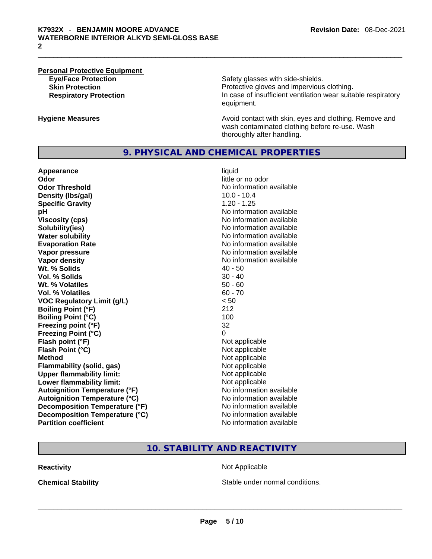# **Personal Protective Equipment**

**Eye/Face Protection Safety glasses with side-shields. Skin Protection Protection Protective gloves and impervious clothing. Respiratory Protection In case of insufficient ventilation wear suitable respiratory** equipment.

**Hygiene Measures Avoid contact with skin, eyes and clothing. Remove and Avoid contact with skin, eyes and clothing. Remove and** wash contaminated clothing before re-use. Wash thoroughly after handling.

# **9. PHYSICAL AND CHEMICAL PROPERTIES**

**Appearance** liquid **Odor Odor Odor Odor Odor Odor** *little or no odor little or no odor little or no odor* **Odor Threshold** No information available **Density (lbs/gal)** 10.0 - 10.4 **Specific Gravity** 1.20 - 1.25 **pH pH 1 Viscosity (cps) No information available No information available Solubility(ies)** No information available **Water solubility Water solubility No information available Evaporation Rate No information available No information available Vapor pressure No information available No information available Vapor density No information available No information available Wt. % Solids** 40 - 50 **Vol. % Solids Wt. % Volatiles** 50 - 60 **Vol. % Volatiles** 60 - 70 **VOC Regulatory Limit (g/L)** < 50 **Boiling Point (°F)** 212 **Boiling Point (°C)** 100 **Freezing point (°F)** 32 **Freezing Point (°C)** 0 **Flash point (°F)**<br> **Flash Point (°C)**<br> **Flash Point (°C)**<br> **Compare Server All Alta Annual Mothematic Not applicable Flash Point (°C) Method** Not applicable **Flammability (solid, gas)** Not applicable **Upper flammability limit:** Not applicable **Lower flammability limit:** Not applicable **Autoignition Temperature (°F)** No information available **Autoignition Temperature (°C)** No information available **Decomposition Temperature (°F)** No information available **Decomposition Temperature (°C)** No information available **Partition coefficient** No information available

# **10. STABILITY AND REACTIVITY**

**Reactivity Not Applicable Not Applicable** 

**Chemical Stability Stable under normal conditions. Chemical Stability Stable under normal conditions. Chemical Stability Chemical Stability Chemical Stability Chemical Stability Chemical Stability Chemic**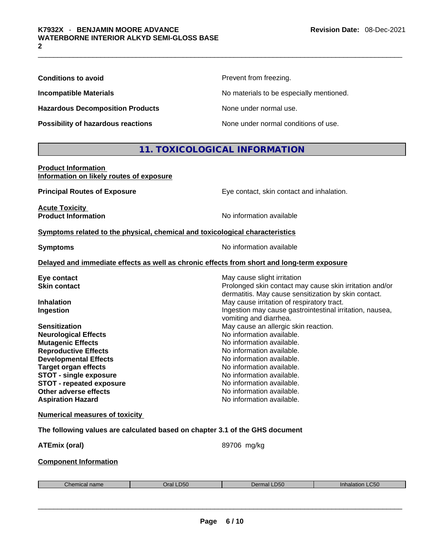**Hazardous Decomposition Products** None under normal use.

**Prevent from freezing.** 

**Incompatible Materials No materials** No materials to be especially mentioned.

**Possibility of hazardous reactions** None under normal conditions of use.

# **11. TOXICOLOGICAL INFORMATION**

# **Product Information Information on likely routes of exposure**

| <b>Principal Routes of Exposure</b>                                          | Eye contact, skin contact and inhalation. |
|------------------------------------------------------------------------------|-------------------------------------------|
| <b>Acute Toxicity</b><br><b>Product Information</b>                          | No information available                  |
| Symptoms related to the physical, chemical and toxicological characteristics |                                           |

**Symptoms Symptoms No information available** 

# **Delayed and immediate effects as well as chronic effects from short and long-term exposure**

| Eye contact                     | May cause slight irritation                              |
|---------------------------------|----------------------------------------------------------|
| <b>Skin contact</b>             | Prolonged skin contact may cause skin irritation and/or  |
|                                 | dermatitis. May cause sensitization by skin contact.     |
| <b>Inhalation</b>               | May cause irritation of respiratory tract.               |
| Ingestion                       | Ingestion may cause gastrointestinal irritation, nausea, |
|                                 | vomiting and diarrhea.                                   |
| <b>Sensitization</b>            | May cause an allergic skin reaction.                     |
| <b>Neurological Effects</b>     | No information available.                                |
| <b>Mutagenic Effects</b>        | No information available.                                |
| <b>Reproductive Effects</b>     | No information available.                                |
| <b>Developmental Effects</b>    | No information available.                                |
| <b>Target organ effects</b>     | No information available.                                |
| <b>STOT - single exposure</b>   | No information available.                                |
| <b>STOT - repeated exposure</b> | No information available.                                |
| Other adverse effects           | No information available.                                |
| <b>Aspiration Hazard</b>        | No information available.                                |
|                                 |                                                          |

# **Numerical measures of toxicity**

**The following values are calculated based on chapter 3.1 of the GHS document**

| ATEmix (oral) | 89706 mg/kg |  |
|---------------|-------------|--|
|               |             |  |

# **Component Information**

| <b>D50</b><br>$h$<br>arol.<br>шы<br>idille |  | <b>D50</b> | C <sub>50</sub><br>мано |
|--------------------------------------------|--|------------|-------------------------|
|                                            |  |            |                         |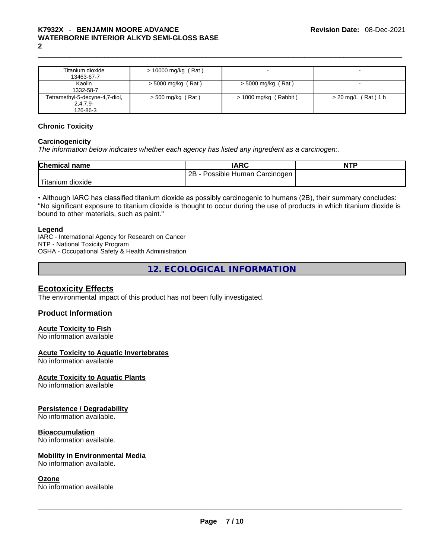# K7932X - BENJAMIN MOORE ADVANCE<br>WATERBORNE INTERIOR ALKYD SEMI-GLOSS BASE<br>2 **WATERBORNE INTERIOR ALKYD SEMI-GLOSS BASE 2**

| Titanium dioxide<br>13463-67-7                           | $> 10000$ mg/kg (Rat) |                         | $\overline{\phantom{0}}$ |
|----------------------------------------------------------|-----------------------|-------------------------|--------------------------|
| Kaolin<br>1332-58-7                                      | $>$ 5000 mg/kg (Rat)  | $>$ 5000 mg/kg (Rat)    |                          |
| Tetramethyl-5-decyne-4,7-diol,<br>$2,4,7,9-$<br>126-86-3 | $>$ 500 mg/kg (Rat)   | $>$ 1000 mg/kg (Rabbit) | $>$ 20 mg/L (Rat) 1 h    |

# **Chronic Toxicity**

# **Carcinogenicity**

*The information below indicates whether each agency has listed any ingredient as a carcinogen:.* 

| <b>Chemical name</b> | <b>IARC</b>                         | <b>NTP</b> |
|----------------------|-------------------------------------|------------|
|                      | 2B -<br>- Possible Human Carcinogen |            |
| 'Titanium dioxide    |                                     |            |

• Although IARC has classified titanium dioxide as possibly carcinogenic to humans (2B), their summary concludes: "No significant exposure to titanium dioxide is thought to occur during the use of products in which titanium dioxide is bound to other materials, such as paint."

# **Legend**

IARC - International Agency for Research on Cancer NTP - National Toxicity Program OSHA - Occupational Safety & Health Administration

**12. ECOLOGICAL INFORMATION** 

# **Ecotoxicity Effects**

The environmental impact of this product has not been fully investigated.

# **Product Information**

# **Acute Toxicity to Fish**

No information available

# **Acute Toxicity to Aquatic Invertebrates**

No information available

# **Acute Toxicity to Aquatic Plants**

No information available

# **Persistence / Degradability**

No information available.

# **Bioaccumulation**

No information available.

# **Mobility in Environmental Media**

# **Ozone**

No information available. \_\_\_\_\_\_\_\_\_\_\_\_\_\_\_\_\_\_\_\_\_\_\_\_\_\_\_\_\_\_\_\_\_\_\_\_\_\_\_\_\_\_\_\_\_\_\_\_\_\_\_\_\_\_\_\_\_\_\_\_\_\_\_\_\_\_\_\_\_\_\_\_\_\_\_\_\_\_\_\_\_\_\_\_\_\_\_\_\_\_\_\_\_ No information available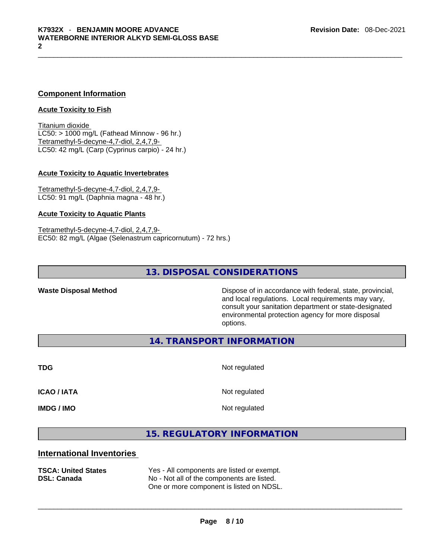# **Component Information**

# **Acute Toxicity to Fish**

Titanium dioxide  $LC50:$  > 1000 mg/L (Fathead Minnow - 96 hr.) Tetramethyl-5-decyne-4,7-diol, 2,4,7,9- LC50: 42 mg/L (Carp (Cyprinus carpio) - 24 hr.)

## **Acute Toxicity to Aquatic Invertebrates**

Tetramethyl-5-decyne-4,7-diol, 2,4,7,9- LC50: 91 mg/L (Daphnia magna - 48 hr.)

# **Acute Toxicity to Aquatic Plants**

Tetramethyl-5-decyne-4,7-diol, 2,4,7,9- EC50: 82 mg/L (Algae (Selenastrum capricornutum) - 72 hrs.)

# **13. DISPOSAL CONSIDERATIONS**

**Waste Disposal Method** Dispose of in accordance with federal, state, provincial, and local regulations. Local requirements may vary, consult your sanitation department or state-designated environmental protection agency for more disposal options.

**14. TRANSPORT INFORMATION** 

**TDG** Not regulated

**ICAO / IATA** Not regulated

**IMDG / IMO** Not regulated

# **15. REGULATORY INFORMATION**

# **International Inventories**

| <b>TSCA: United States</b><br><b>DSL: Canada</b> | Yes - All components are listed or exempt.<br>No - Not all of the components are listed.<br>One or more component is listed on NDSL. |
|--------------------------------------------------|--------------------------------------------------------------------------------------------------------------------------------------|
|                                                  |                                                                                                                                      |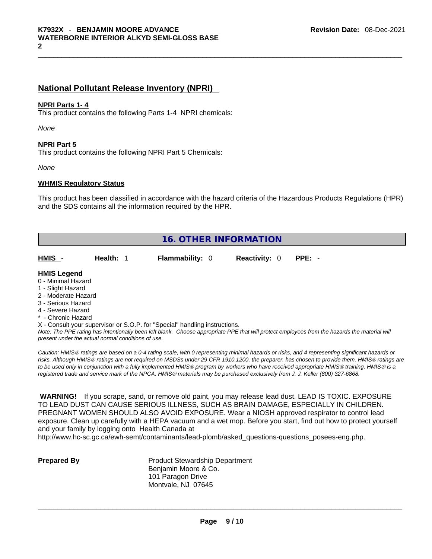# **National Pollutant Release Inventory (NPRI)**

# **NPRI Parts 1- 4**

This product contains the following Parts 1-4 NPRI chemicals:

*None*

# **NPRI Part 5**

This product contains the following NPRI Part 5 Chemicals:

*None*

# **WHMIS Regulatory Status**

This product has been classified in accordance with the hazard criteria of the Hazardous Products Regulations (HPR) and the SDS contains all the information required by the HPR.

| <b>16. OTHER INFORMATION</b>                                                                                                                                                                                |           |                                                                            |                      |                                                                                                                                               |  |
|-------------------------------------------------------------------------------------------------------------------------------------------------------------------------------------------------------------|-----------|----------------------------------------------------------------------------|----------------------|-----------------------------------------------------------------------------------------------------------------------------------------------|--|
| HMIS -                                                                                                                                                                                                      | Health: 1 | <b>Flammability: 0</b>                                                     | <b>Reactivity: 0</b> | $PPE: -$                                                                                                                                      |  |
| <b>HMIS Legend</b><br>0 - Minimal Hazard<br>1 - Slight Hazard<br>2 - Moderate Hazard<br>3 - Serious Hazard<br>4 - Severe Hazard<br>* - Chronic Hazard<br>present under the actual normal conditions of use. |           | X - Consult your supervisor or S.O.P. for "Special" handling instructions. |                      | Note: The PPE rating has intentionally been left blank. Choose appropriate PPE that will protect employees from the hazards the material will |  |

*Caution: HMISÒ ratings are based on a 0-4 rating scale, with 0 representing minimal hazards or risks, and 4 representing significant hazards or risks. Although HMISÒ ratings are not required on MSDSs under 29 CFR 1910.1200, the preparer, has chosen to provide them. HMISÒ ratings are to be used only in conjunction with a fully implemented HMISÒ program by workers who have received appropriate HMISÒ training. HMISÒ is a registered trade and service mark of the NPCA. HMISÒ materials may be purchased exclusively from J. J. Keller (800) 327-6868.* 

 **WARNING!** If you scrape, sand, or remove old paint, you may release lead dust. LEAD IS TOXIC. EXPOSURE TO LEAD DUST CAN CAUSE SERIOUS ILLNESS, SUCH AS BRAIN DAMAGE, ESPECIALLY IN CHILDREN. PREGNANT WOMEN SHOULD ALSO AVOID EXPOSURE.Wear a NIOSH approved respirator to control lead exposure. Clean up carefully with a HEPA vacuum and a wet mop. Before you start, find out how to protect yourself and your family by logging onto Health Canada at

http://www.hc-sc.gc.ca/ewh-semt/contaminants/lead-plomb/asked\_questions-questions\_posees-eng.php.

**Prepared By Product Stewardship Department** Benjamin Moore & Co. 101 Paragon Drive Montvale, NJ 07645